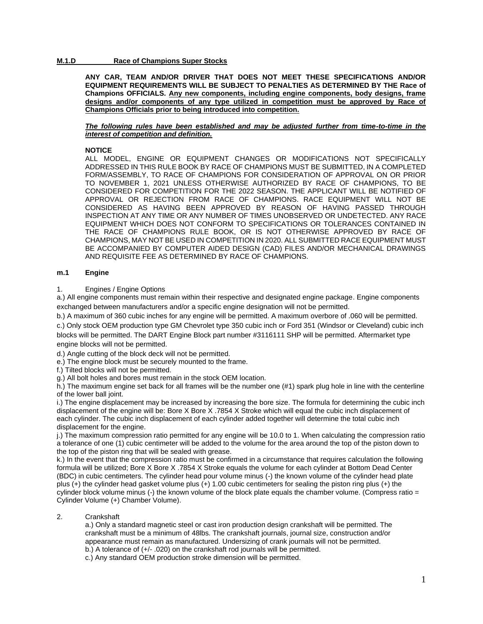# **M.1.D Race of Champions Super Stocks**

**ANY CAR, TEAM AND/OR DRIVER THAT DOES NOT MEET THESE SPECIFICATIONS AND/OR EQUIPMENT REQUIREMENTS WILL BE SUBJECT TO PENALTIES AS DETERMINED BY THE Race of Champions OFFICIALS. Any new components, including engine components, body designs, frame designs and/or components of any type utilized in competition must be approved by Race of Champions Officials prior to being introduced into competition.**

#### *The following rules have been established and may be adjusted further from time-to-time in the interest of competition and definition.*

# **NOTICE**

ALL MODEL, ENGINE OR EQUIPMENT CHANGES OR MODIFICATIONS NOT SPECIFICALLY ADDRESSED IN THIS RULE BOOK BY RACE OF CHAMPIONS MUST BE SUBMITTED, IN A COMPLETED FORM/ASSEMBLY, TO RACE OF CHAMPIONS FOR CONSIDERATION OF APPROVAL ON OR PRIOR TO NOVEMBER 1, 2021 UNLESS OTHERWISE AUTHORIZED BY RACE OF CHAMPIONS, TO BE CONSIDERED FOR COMPETITION FOR THE 2022 SEASON. THE APPLICANT WILL BE NOTIFIED OF APPROVAL OR REJECTION FROM RACE OF CHAMPIONS. RACE EQUIPMENT WILL NOT BE CONSIDERED AS HAVING BEEN APPROVED BY REASON OF HAVING PASSED THROUGH INSPECTION AT ANY TIME OR ANY NUMBER OF TIMES UNOBSERVED OR UNDETECTED. ANY RACE EQUIPMENT WHICH DOES NOT CONFORM TO SPECIFICATIONS OR TOLERANCES CONTAINED IN THE RACE OF CHAMPIONS RULE BOOK, OR IS NOT OTHERWISE APPROVED BY RACE OF CHAMPIONS, MAY NOT BE USED IN COMPETITION IN 2020. ALL SUBMITTED RACE EQUIPMENT MUST BE ACCOMPANIED BY COMPUTER AIDED DESIGN (CAD) FILES AND/OR MECHANICAL DRAWINGS AND REQUISITE FEE AS DETERMINED BY RACE OF CHAMPIONS.

### **m.1 Engine**

1. Engines / Engine Options

a.) All engine components must remain within their respective and designated engine package. Engine components exchanged between manufacturers and/or a specific engine designation will not be permitted.

b.) A maximum of 360 cubic inches for any engine will be permitted. A maximum overbore of .060 will be permitted.

c.) Only stock OEM production type GM Chevrolet type 350 cubic inch or Ford 351 (Windsor or Cleveland) cubic inch blocks will be permitted. The DART Engine Block part number #3116111 SHP will be permitted. Aftermarket type engine blocks will not be permitted.

d.) Angle cutting of the block deck will not be permitted.

e.) The engine block must be securely mounted to the frame.

f.) Tilted blocks will not be permitted.

g.) All bolt holes and bores must remain in the stock OEM location.

h.) The maximum engine set back for all frames will be the number one (#1) spark plug hole in line with the centerline of the lower ball joint.

i.) The engine displacement may be increased by increasing the bore size. The formula for determining the cubic inch displacement of the engine will be: Bore X Bore X .7854 X Stroke which will equal the cubic inch displacement of each cylinder. The cubic inch displacement of each cylinder added together will determine the total cubic inch displacement for the engine.

j.) The maximum compression ratio permitted for any engine will be 10.0 to 1. When calculating the compression ratio a tolerance of one (1) cubic centimeter will be added to the volume for the area around the top of the piston down to the top of the piston ring that will be sealed with grease.

k.) In the event that the compression ratio must be confirmed in a circumstance that requires calculation the following formula will be utilized; Bore X Bore X .7854 X Stroke equals the volume for each cylinder at Bottom Dead Center (BDC) in cubic centimeters. The cylinder head pour volume minus (-) the known volume of the cylinder head plate plus (+) the cylinder head gasket volume plus (+) 1.00 cubic centimeters for sealing the piston ring plus (+) the cylinder block volume minus (-) the known volume of the block plate equals the chamber volume. (Compress ratio = Cylinder Volume (+) Chamber Volume).

2. Crankshaft

a.) Only a standard magnetic steel or cast iron production design crankshaft will be permitted. The crankshaft must be a minimum of 48lbs. The crankshaft journals, journal size, construction and/or appearance must remain as manufactured. Undersizing of crank journals will not be permitted. b.) A tolerance of (+/- .020) on the crankshaft rod journals will be permitted.

c.) Any standard OEM production stroke dimension will be permitted.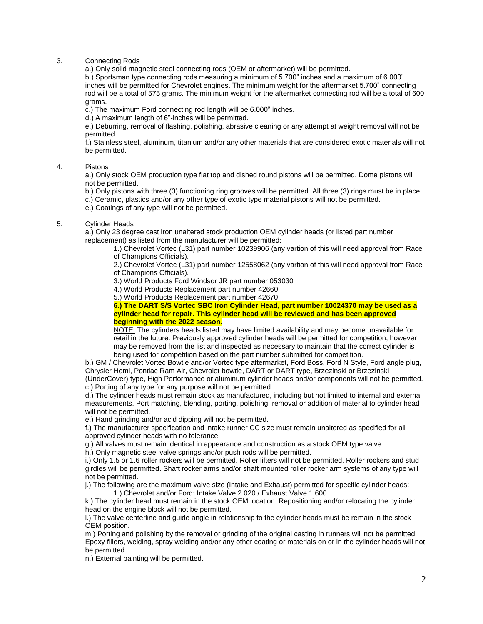3. Connecting Rods

a.) Only solid magnetic steel connecting rods (OEM or aftermarket) will be permitted.

b.) Sportsman type connecting rods measuring a minimum of 5.700" inches and a maximum of 6.000" inches will be permitted for Chevrolet engines. The minimum weight for the aftermarket 5.700" connecting rod will be a total of 575 grams. The minimum weight for the aftermarket connecting rod will be a total of 600 grams.

c.) The maximum Ford connecting rod length will be 6.000" inches.

d.) A maximum length of 6"-inches will be permitted.

e.) Deburring, removal of flashing, polishing, abrasive cleaning or any attempt at weight removal will not be permitted.

f.) Stainless steel, aluminum, titanium and/or any other materials that are considered exotic materials will not be permitted.

### 4. Pistons

a.) Only stock OEM production type flat top and dished round pistons will be permitted. Dome pistons will not be permitted.

b.) Only pistons with three (3) functioning ring grooves will be permitted. All three (3) rings must be in place.

c.) Ceramic, plastics and/or any other type of exotic type material pistons will not be permitted.

e.) Coatings of any type will not be permitted.

### 5. Cylinder Heads

a.) Only 23 degree cast iron unaltered stock production OEM cylinder heads (or listed part number replacement) as listed from the manufacturer will be permitted:

1.) Chevrolet Vortec (L31) part number 10239906 (any vartion of this will need approval from Race of Champions Officials).

2.) Chevrolet Vortec (L31) part number 12558062 (any vartion of this will need approval from Race of Champions Officials).

3.) World Products Ford Windsor JR part number 053030

4.) World Products Replacement part number 42660

5.) World Products Replacement part number 42670

**6.) The DART S/S Vortec SBC Iron Cylinder Head, part number 10024370 may be used as a cylinder head for repair. This cylinder head will be reviewed and has been approved beginning with the 2022 season.**

NOTE: The cylinders heads listed may have limited availability and may become unavailable for retail in the future. Previously approved cylinder heads will be permitted for competition, however may be removed from the list and inspected as necessary to maintain that the correct cylinder is being used for competition based on the part number submitted for competition.

b.) GM / Chevrolet Vortec Bowtie and/or Vortec type aftermarket, Ford Boss, Ford N Style, Ford angle plug, Chrysler Hemi, Pontiac Ram Air, Chevrolet bowtie, DART or DART type, Brzezinski or Brzezinski (UnderCover) type, High Performance or aluminum cylinder heads and/or components will not be permitted. c.) Porting of any type for any purpose will not be permitted.

d.) The cylinder heads must remain stock as manufactured, including but not limited to internal and external measurements. Port matching, blending, porting, polishing, removal or addition of material to cylinder head will not be permitted.

e.) Hand grinding and/or acid dipping will not be permitted.

f.) The manufacturer specification and intake runner CC size must remain unaltered as specified for all approved cylinder heads with no tolerance.

g.) All valves must remain identical in appearance and construction as a stock OEM type valve.

h.) Only magnetic steel valve springs and/or push rods will be permitted.

i.) Only 1.5 or 1.6 roller rockers will be permitted. Roller lifters will not be permitted. Roller rockers and stud girdles will be permitted. Shaft rocker arms and/or shaft mounted roller rocker arm systems of any type will not be permitted.

j.) The following are the maximum valve size (Intake and Exhaust) permitted for specific cylinder heads: 1.) Chevrolet and/or Ford: Intake Valve 2.020 / Exhaust Valve 1.600

k.) The cylinder head must remain in the stock OEM location. Repositioning and/or relocating the cylinder head on the engine block will not be permitted.

l.) The valve centerline and guide angle in relationship to the cylinder heads must be remain in the stock OEM position.

m.) Porting and polishing by the removal or grinding of the original casting in runners will not be permitted. Epoxy fillers, welding, spray welding and/or any other coating or materials on or in the cylinder heads will not be permitted.

n.) External painting will be permitted.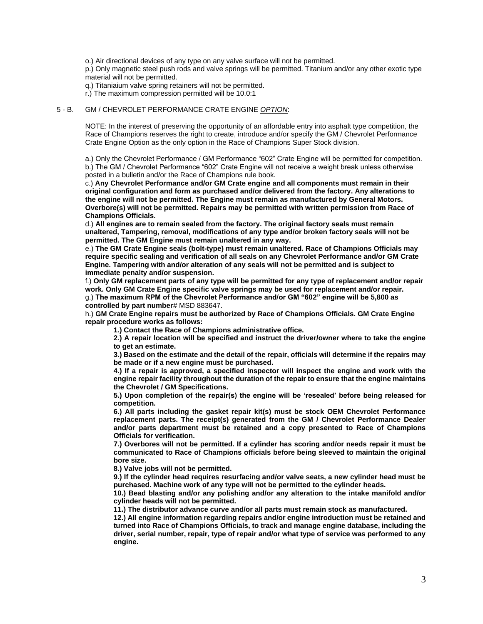o.) Air directional devices of any type on any valve surface will not be permitted.

p.) Only magnetic steel push rods and valve springs will be permitted. Titanium and/or any other exotic type material will not be permitted.

q.) Titaniaium valve spring retainers will not be permitted.

r.) The maximum compression permitted will be 10.0:1

#### 5 - B. GM / CHEVROLET PERFORMANCE CRATE ENGINE *OPTION*:

NOTE: In the interest of preserving the opportunity of an affordable entry into asphalt type competition, the Race of Champions reserves the right to create, introduce and/or specify the GM / Chevrolet Performance Crate Engine Option as the only option in the Race of Champions Super Stock division.

a.) Only the Chevrolet Performance / GM Performance "602" Crate Engine will be permitted for competition. b.) The GM / Chevrolet Performance "602" Crate Engine will not receive a weight break unless otherwise posted in a bulletin and/or the Race of Champions rule book.

c.) **Any Chevrolet Performance and/or GM Crate engine and all components must remain in their original configuration and form as purchased and/or delivered from the factory. Any alterations to the engine will not be permitted. The Engine must remain as manufactured by General Motors. Overbore(s) will not be permitted. Repairs may be permitted with written permission from Race of Champions Officials.**

d.) **All engines are to remain sealed from the factory. The original factory seals must remain unaltered, Tampering, removal, modifications of any type and/or broken factory seals will not be permitted. The GM Engine must remain unaltered in any way.**

e.) **The GM Crate Engine seals (bolt-type) must remain unaltered. Race of Champions Officials may require specific sealing and verification of all seals on any Chevrolet Performance and/or GM Crate Engine. Tampering with and/or alteration of any seals will not be permitted and is subject to immediate penalty and/or suspension.**

f.) **Only GM replacement parts of any type will be permitted for any type of replacement and/or repair work. Only GM Crate Engine specific valve springs may be used for replacement and/or repair.** g.) **The maximum RPM of the Chevrolet Performance and/or GM "602" engine will be 5,800 as controlled by part number**# MSD 883647.

h.) **GM Crate Engine repairs must be authorized by Race of Champions Officials. GM Crate Engine repair procedure works as follows:**

**1.) Contact the Race of Champions administrative office.**

**2.) A repair location will be specified and instruct the driver/owner where to take the engine to get an estimate.**

**3.) Based on the estimate and the detail of the repair, officials will determine if the repairs may be made or if a new engine must be purchased.**

**4.) If a repair is approved, a specified inspector will inspect the engine and work with the engine repair facility throughout the duration of the repair to ensure that the engine maintains the Chevrolet / GM Specifications.**

**5.) Upon completion of the repair(s) the engine will be 'resealed' before being released for competition.**

**6.) All parts including the gasket repair kit(s) must be stock OEM Chevrolet Performance replacement parts. The receipt(s) generated from the GM / Chevrolet Performance Dealer and/or parts department must be retained and a copy presented to Race of Champions Officials for verification.**

**7.) Overbores will not be permitted. If a cylinder has scoring and/or needs repair it must be communicated to Race of Champions officials before being sleeved to maintain the original bore size.**

**8.) Valve jobs will not be permitted.**

**9.) If the cylinder head requires resurfacing and/or valve seats, a new cylinder head must be purchased. Machine work of any type will not be permitted to the cylinder heads.**

**10.) Bead blasting and/or any polishing and/or any alteration to the intake manifold and/or cylinder heads will not be permitted.**

**11.) The distributor advance curve and/or all parts must remain stock as manufactured.**

**12.) All engine information regarding repairs and/or engine introduction must be retained and turned into Race of Champions Officials, to track and manage engine database, including the driver, serial number, repair, type of repair and/or what type of service was performed to any engine.**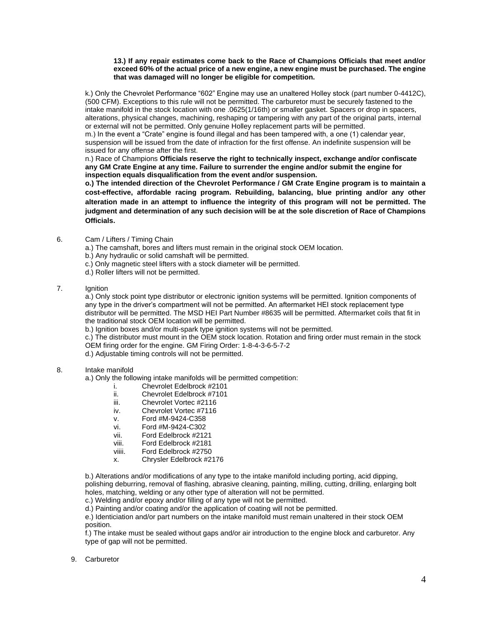#### **13.) If any repair estimates come back to the Race of Champions Officials that meet and/or exceed 60% of the actual price of a new engine, a new engine must be purchased. The engine that was damaged will no longer be eligible for competition.**

k.) Only the Chevrolet Performance "602" Engine may use an unaltered Holley stock (part number 0-4412C), (500 CFM). Exceptions to this rule will not be permitted. The carburetor must be securely fastened to the intake manifold in the stock location with one .0625(1/16th) or smaller gasket. Spacers or drop in spacers, alterations, physical changes, machining, reshaping or tampering with any part of the original parts, internal or external will not be permitted. Only genuine Holley replacement parts will be permitted.

m.) In the event a "Crate" engine is found illegal and has been tampered with, a one (1) calendar year, suspension will be issued from the date of infraction for the first offense. An indefinite suspension will be issued for any offense after the first.

n.) Race of Champions **Officials reserve the right to technically inspect, exchange and/or confiscate any GM Crate Engine at any time. Failure to surrender the engine and/or submit the engine for inspection equals disqualification from the event and/or suspension.**

**o.) The intended direction of the Chevrolet Performance / GM Crate Engine program is to maintain a cost-effective, affordable racing program. Rebuilding, balancing, blue printing and/or any other alteration made in an attempt to influence the integrity of this program will not be permitted. The judgment and determination of any such decision will be at the sole discretion of Race of Champions Officials.**

- 6. Cam / Lifters / Timing Chain
	- a.) The camshaft, bores and lifters must remain in the original stock OEM location.
	- b.) Any hydraulic or solid camshaft will be permitted.
	- c.) Only magnetic steel lifters with a stock diameter will be permitted.
	- d.) Roller lifters will not be permitted.

# 7. Ignition

a.) Only stock point type distributor or electronic ignition systems will be permitted. Ignition components of any type in the driver's compartment will not be permitted. An aftermarket HEI stock replacement type distributor will be permitted. The MSD HEI Part Number #8635 will be permitted. Aftermarket coils that fit in the traditional stock OEM location will be permitted.

b.) Ignition boxes and/or multi-spark type ignition systems will not be permitted.

c.) The distributor must mount in the OEM stock location. Rotation and firing order must remain in the stock OEM firing order for the engine. GM Firing Order: 1-8-4-3-6-5-7-2

d.) Adjustable timing controls will not be permitted.

### 8. Intake manifold

a.) Only the following intake manifolds will be permitted competition:

- i. Chevrolet Edelbrock #2101
- ii. Chevrolet Edelbrock #7101
- iii. Chevrolet Vortec #2116
- iv. Chevrolet Vortec #7116
- v. Ford #M-9424-C358
- vi. Ford #M-9424-C302
- vii. Ford Edelbrock #2121
- viii. Ford Edelbrock #2181
- viiii. Ford Edelbrock #2750
- x. Chrysler Edelbrock #2176

b.) Alterations and/or modifications of any type to the intake manifold including porting, acid dipping, polishing deburring, removal of flashing, abrasive cleaning, painting, milling, cutting, drilling, enlarging bolt holes, matching, welding or any other type of alteration will not be permitted.

c.) Welding and/or epoxy and/or filling of any type will not be permitted.

d.) Painting and/or coating and/or the application of coating will not be permitted.

e.) Identiciation and/or part numbers on the intake manifold must remain unaltered in their stock OEM position.

f.) The intake must be sealed without gaps and/or air introduction to the engine block and carburetor. Any type of gap will not be permitted.

### 9. Carburetor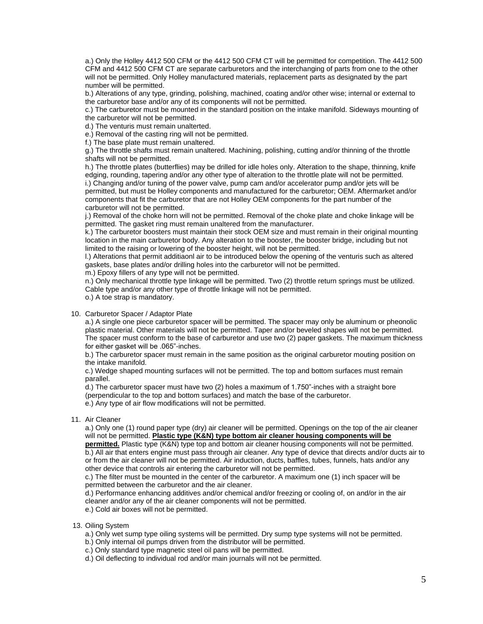a.) Only the Holley 4412 500 CFM or the 4412 500 CFM CT will be permitted for competition. The 4412 500 CFM and 4412 500 CFM CT are separate carburetors and the interchanging of parts from one to the other will not be permitted. Only Holley manufactured materials, replacement parts as designated by the part number will be permitted.

b.) Alterations of any type, grinding, polishing, machined, coating and/or other wise; internal or external to the carburetor base and/or any of its components will not be permitted.

c.) The carburetor must be mounted in the standard position on the intake manifold. Sideways mounting of the carburetor will not be permitted.

d.) The venturis must remain unalterted.

e.) Removal of the casting ring will not be permitted.

f.) The base plate must remain unaltered.

g.) The throttle shafts must remain unaltered. Machining, polishing, cutting and/or thinning of the throttle shafts will not be permitted.

h.) The throttle plates (butterflies) may be drilled for idle holes only. Alteration to the shape, thinning, knife edging, rounding, tapering and/or any other type of alteration to the throttle plate will not be permitted. i.) Changing and/or tuning of the power valve, pump cam and/or accelerator pump and/or jets will be permitted, but must be Holley components and manufactured for the carburetor; OEM. Aftermarket and/or components that fit the carburetor that are not Holley OEM components for the part number of the carburetor will not be permitted.

j.) Removal of the choke horn will not be permitted. Removal of the choke plate and choke linkage will be permitted. The gasket ring must remain unaltered from the manufacturer.

k.) The carburetor boosters must maintain their stock OEM size and must remain in their original mounting location in the main carburetor body. Any alteration to the booster, the booster bridge, including but not limited to the raising or lowering of the booster height, will not be permitted.

l.) Alterations that permit additiaonl air to be introduced below the opening of the venturis such as altered gaskets, base plates and/or drilling holes into the carburetor will not be permitted.

m.) Epoxy fillers of any type will not be permitted.

n.) Only mechanical throttle type linkage will be permitted. Two (2) throttle return springs must be utilized. Cable type and/or any other type of throttle linkage will not be permitted.

o.) A toe strap is mandatory.

#### 10. Carburetor Spacer / Adaptor Plate

a.) A single one piece carburetor spacer will be permitted. The spacer may only be aluminum or pheonolic plastic material. Other materials will not be permitted. Taper and/or beveled shapes will not be permitted. The spacer must conform to the base of carburetor and use two (2) paper gaskets. The maximum thickness for either gasket will be .065"-inches.

b.) The carburetor spacer must remain in the same position as the original carburetor mouting position on the intake manifold.

c.) Wedge shaped mounting surfaces will not be permitted. The top and bottom surfaces must remain parallel.

d.) The carburetor spacer must have two (2) holes a maximum of 1.750"-inches with a straight bore (perpendicular to the top and bottom surfaces) and match the base of the carburetor. e.) Any type of air flow modifications will not be permitted.

# 11. Air Cleaner

a.) Only one (1) round paper type (dry) air cleaner will be permitted. Openings on the top of the air cleaner will not be permitted. **Plastic type (K&N) type bottom air cleaner housing components will be** 

**permitted.** Plastic type (K&N) type top and bottom air cleaner housing components will not be permitted. b.) All air that enters engine must pass through air cleaner. Any type of device that directs and/or ducts air to or from the air cleaner will not be permitted. Air induction, ducts, baffles, tubes, funnels, hats and/or any other device that controls air entering the carburetor will not be permitted.

c.) The filter must be mounted in the center of the carburetor. A maximum one (1) inch spacer will be permitted between the carburetor and the air cleaner.

d.) Performance enhancing additives and/or chemical and/or freezing or cooling of, on and/or in the air cleaner and/or any of the air cleaner components will not be permitted.

e.) Cold air boxes will not be permitted.

- 13. Oiling System
	- a.) Only wet sump type oiling systems will be permitted. Dry sump type systems will not be permitted.
	- b.) Only internal oil pumps driven from the distributor will be permitted.
	- c.) Only standard type magnetic steel oil pans will be permitted.
	- d.) Oil deflecting to individual rod and/or main journals will not be permitted.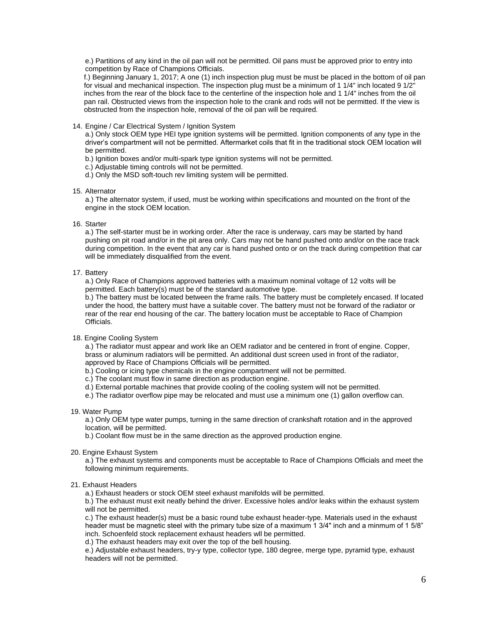e.) Partitions of any kind in the oil pan will not be permitted. Oil pans must be approved prior to entry into competition by Race of Champions Officials.

f.) Beginning January 1, 2017; A one (1) inch inspection plug must be must be placed in the bottom of oil pan for visual and mechanical inspection. The inspection plug must be a minimum of 1 1/4" inch located 9 1/2" inches from the rear of the block face to the centerline of the inspection hole and 1 1/4" inches from the oil pan rail. Obstructed views from the inspection hole to the crank and rods will not be permitted. If the view is obstructed from the inspection hole, removal of the oil pan will be required.

14. Engine / Car Electrical System / Ignition System

a.) Only stock OEM type HEI type ignition systems will be permitted. Ignition components of any type in the driver's compartment will not be permitted. Aftermarket coils that fit in the traditional stock OEM location will be permitted.

- b.) Ignition boxes and/or multi-spark type ignition systems will not be permitted.
- c.) Adjustable timing controls will not be permitted.
- d.) Only the MSD soft-touch rev limiting system will be permitted.
- 15. Alternator

a.) The alternator system, if used, must be working within specifications and mounted on the front of the engine in the stock OEM location.

### 16. Starter

a.) The self-starter must be in working order. After the race is underway, cars may be started by hand pushing on pit road and/or in the pit area only. Cars may not be hand pushed onto and/or on the race track during competition. In the event that any car is hand pushed onto or on the track during competition that car will be immediately disqualified from the event.

# 17. Battery

a.) Only Race of Champions approved batteries with a maximum nominal voltage of 12 volts will be permitted. Each battery(s) must be of the standard automotive type.

b.) The battery must be located between the frame rails. The battery must be completely encased. If located under the hood, the battery must have a suitable cover. The battery must not be forward of the radiator or rear of the rear end housing of the car. The battery location must be acceptable to Race of Champion Officials.

#### 18. Engine Cooling System

a.) The radiator must appear and work like an OEM radiator and be centered in front of engine. Copper, brass or aluminum radiators will be permitted. An additional dust screen used in front of the radiator, approved by Race of Champions Officials will be permitted.

b.) Cooling or icing type chemicals in the engine compartment will not be permitted.

- c.) The coolant must flow in same direction as production engine.
- d.) External portable machines that provide cooling of the cooling system will not be permitted.

e.) The radiator overflow pipe may be relocated and must use a minimum one (1) gallon overflow can.

#### 19. Water Pump

a.) Only OEM type water pumps, turning in the same direction of crankshaft rotation and in the approved location, will be permitted.

b.) Coolant flow must be in the same direction as the approved production engine.

#### 20. Engine Exhaust System

a.) The exhaust systems and components must be acceptable to Race of Champions Officials and meet the following minimum requirements.

### 21. Exhaust Headers

a.) Exhaust headers or stock OEM steel exhaust manifolds will be permitted.

b.) The exhaust must exit neatly behind the driver. Excessive holes and/or leaks within the exhaust system will not be permitted.

c.) The exhaust header(s) must be a basic round tube exhaust header-type. Materials used in the exhaust header must be magnetic steel with the primary tube size of a maximum 1 3/4" inch and a minmum of 1 5/8" inch. Schoenfeld stock replacement exhaust headers wll be permitted.

d.) The exhaust headers may exit over the top of the bell housing.

e.) Adjustable exhaust headers, try-y type, collector type, 180 degree, merge type, pyramid type, exhaust headers will not be permitted.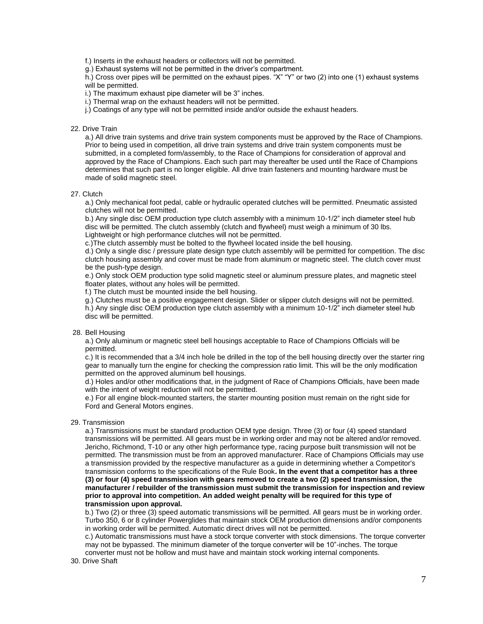f.) Inserts in the exhaust headers or collectors will not be permitted.

g.) Exhaust systems will not be permitted in the driver's compartment.

h.) Cross over pipes will be permitted on the exhaust pipes. "X" "Y" or two (2) into one (1) exhaust systems will be permitted.

i.) The maximum exhaust pipe diameter will be 3" inches.

i.) Thermal wrap on the exhaust headers will not be permitted.

j.) Coatings of any type will not be permitted inside and/or outside the exhaust headers.

#### 22. Drive Train

a.) All drive train systems and drive train system components must be approved by the Race of Champions. Prior to being used in competition, all drive train systems and drive train system components must be submitted, in a completed form/assembly, to the Race of Champions for consideration of approval and approved by the Race of Champions. Each such part may thereafter be used until the Race of Champions determines that such part is no longer eligible. All drive train fasteners and mounting hardware must be made of solid magnetic steel.

27. Clutch

a.) Only mechanical foot pedal, cable or hydraulic operated clutches will be permitted. Pneumatic assisted clutches will not be permitted.

b.) Any single disc OEM production type clutch assembly with a minimum 10-1/2" inch diameter steel hub disc will be permitted. The clutch assembly (clutch and flywheel) must weigh a minimum of 30 lbs. Lightweight or high performance clutches will not be permitted.

c.)The clutch assembly must be bolted to the flywheel located inside the bell housing.

d.) Only a single disc / pressure plate design type clutch assembly will be permitted for competition. The disc clutch housing assembly and cover must be made from aluminum or magnetic steel. The clutch cover must be the push-type design.

e.) Only stock OEM production type solid magnetic steel or aluminum pressure plates, and magnetic steel floater plates, without any holes will be permitted.

f.) The clutch must be mounted inside the bell housing.

g.) Clutches must be a positive engagement design. Slider or slipper clutch designs will not be permitted.

h.) Any single disc OEM production type clutch assembly with a minimum 10-1/2" inch diameter steel hub disc will be permitted.

### 28. Bell Housing

a.) Only aluminum or magnetic steel bell housings acceptable to Race of Champions Officials will be permitted.

c.) It is recommended that a 3/4 inch hole be drilled in the top of the bell housing directly over the starter ring gear to manually turn the engine for checking the compression ratio limit. This will be the only modification permitted on the approved aluminum bell housings.

d.) Holes and/or other modifications that, in the judgment of Race of Champions Officials, have been made with the intent of weight reduction will not be permitted.

e.) For all engine block-mounted starters, the starter mounting position must remain on the right side for Ford and General Motors engines.

### 29. Transmission

a.) Transmissions must be standard production OEM type design. Three (3) or four (4) speed standard transmissions will be permitted. All gears must be in working order and may not be altered and/or removed. Jericho, Richmond, T-10 or any other high performance type, racing purpose built transmission will not be permitted. The transmission must be from an approved manufacturer. Race of Champions Officials may use a transmission provided by the respective manufacturer as a guide in determining whether a Competitor's transmission conforms to the specifications of the Rule Book**. In the event that a competitor has a three (3) or four (4) speed transmission with gears removed to create a two (2) speed transmission, the manufacturer / rebuilder of the transmission must submit the transmission for inspection and review prior to approval into competition. An added weight penalty will be required for this type of transmission upon approval.**

b.) Two (2) or three (3) speed automatic transmissions will be permitted. All gears must be in working order. Turbo 350, 6 or 8 cylinder Powerglides that maintain stock OEM production dimensions and/or components in working order will be permitted. Automatic direct drives will not be permitted.

c.) Automatic transmissions must have a stock torque converter with stock dimensions. The torque converter may not be bypassed. The minimum diameter of the torque converter will be 10"-inches. The torque converter must not be hollow and must have and maintain stock working internal components.

#### 30. Drive Shaft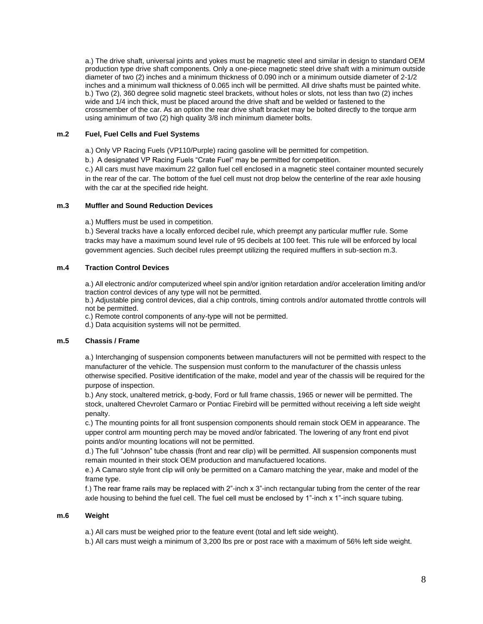a.) The drive shaft, universal joints and yokes must be magnetic steel and similar in design to standard OEM production type drive shaft components. Only a one-piece magnetic steel drive shaft with a minimum outside diameter of two (2) inches and a minimum thickness of 0.090 inch or a minimum outside diameter of 2-1/2 inches and a minimum wall thickness of 0.065 inch will be permitted. All drive shafts must be painted white. b.) Two (2), 360 degree solid magnetic steel brackets, without holes or slots, not less than two (2) inches wide and 1/4 inch thick, must be placed around the drive shaft and be welded or fastened to the crossmember of the car. As an option the rear drive shaft bracket may be bolted directly to the torque arm using aminimum of two (2) high quality 3/8 inch minimum diameter bolts.

# **m.2 Fuel, Fuel Cells and Fuel Systems**

a.) Only VP Racing Fuels (VP110/Purple) racing gasoline will be permitted for competition.

b.) A designated VP Racing Fuels "Crate Fuel" may be permitted for competition.

c.) All cars must have maximum 22 gallon fuel cell enclosed in a magnetic steel container mounted securely in the rear of the car. The bottom of the fuel cell must not drop below the centerline of the rear axle housing with the car at the specified ride height.

### **m.3 Muffler and Sound Reduction Devices**

a.) Mufflers must be used in competition.

b.) Several tracks have a locally enforced decibel rule, which preempt any particular muffler rule. Some tracks may have a maximum sound level rule of 95 decibels at 100 feet. This rule will be enforced by local government agencies. Such decibel rules preempt utilizing the required mufflers in sub-section m.3.

# **m.4 Traction Control Devices**

a.) All electronic and/or computerized wheel spin and/or ignition retardation and/or acceleration limiting and/or traction control devices of any type will not be permitted.

b.) Adjustable ping control devices, dial a chip controls, timing controls and/or automated throttle controls will not be permitted.

c.) Remote control components of any-type will not be permitted.

d.) Data acquisition systems will not be permitted.

### **m.5 Chassis / Frame**

a.) Interchanging of suspension components between manufacturers will not be permitted with respect to the manufacturer of the vehicle. The suspension must conform to the manufacturer of the chassis unless otherwise specified. Positive identification of the make, model and year of the chassis will be required for the purpose of inspection.

b.) Any stock, unaltered metrick, g-body, Ford or full frame chassis, 1965 or newer will be permitted. The stock, unaltered Chevrolet Carmaro or Pontiac Firebird will be permitted without receiving a left side weight penalty.

c.) The mounting points for all front suspension components should remain stock OEM in appearance. The upper control arm mounting perch may be moved and/or fabricated. The lowering of any front end pivot points and/or mounting locations will not be permitted.

d.) The full "Johnson" tube chassis (front and rear clip) will be permitted. All suspension components must remain mounted in their stock OEM production and manufactuered locations.

e.) A Camaro style front clip will only be permitted on a Camaro matching the year, make and model of the frame type.

f.) The rear frame rails may be replaced with 2"-inch x 3"-inch rectangular tubing from the center of the rear axle housing to behind the fuel cell. The fuel cell must be enclosed by 1"-inch x 1"-inch square tubing.

### **m.6 Weight**

a.) All cars must be weighed prior to the feature event (total and left side weight).

b.) All cars must weigh a minimum of 3,200 lbs pre or post race with a maximum of 56% left side weight.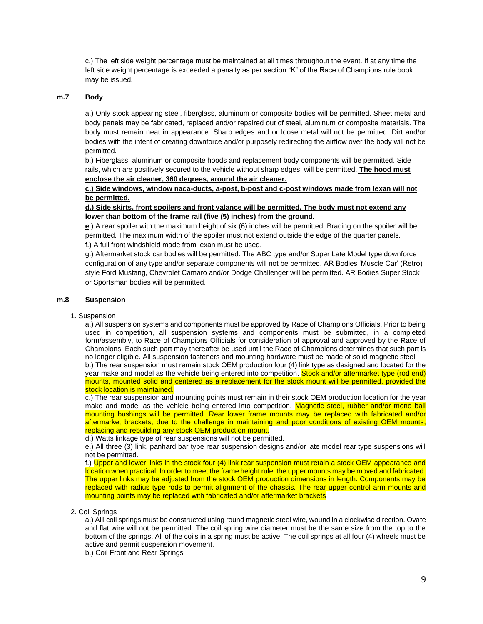c.) The left side weight percentage must be maintained at all times throughout the event. If at any time the left side weight percentage is exceeded a penalty as per section "K" of the Race of Champions rule book may be issued.

# **m.7 Body**

a.) Only stock appearing steel, fiberglass, aluminum or composite bodies will be permitted. Sheet metal and body panels may be fabricated, replaced and/or repaired out of steel, aluminum or composite materials. The body must remain neat in appearance. Sharp edges and or loose metal will not be permitted. Dirt and/or bodies with the intent of creating downforce and/or purposely redirecting the airflow over the body will not be permitted.

b.) Fiberglass, aluminum or composite hoods and replacement body components will be permitted. Side rails, which are positively secured to the vehicle without sharp edges, will be permitted. **The hood must enclose the air cleaner, 360 degrees, around the air cleaner.**

**c.) Side windows, window naca-ducts, a-post, b-post and c-post windows made from lexan will not be permitted.**

**d.) Side skirts, front spoilers and front valance will be permitted. The body must not extend any lower than bottom of the frame rail (five (5) inches) from the ground.**

**e**.) A rear spoiler with the maximum height of six (6) inches will be permitted. Bracing on the spoiler will be permitted. The maximum width of the spoiler must not extend outside the edge of the quarter panels. f.) A full front windshield made from lexan must be used.

g.) Aftermarket stock car bodies will be permitted. The ABC type and/or Super Late Model type downforce configuration of any type and/or separate components will not be permitted. AR Bodies 'Muscle Car' (Retro) style Ford Mustang, Chevrolet Camaro and/or Dodge Challenger will be permitted. AR Bodies Super Stock or Sportsman bodies will be permitted.

### **m.8 Suspension**

1. Suspension

a.) All suspension systems and components must be approved by Race of Champions Officials. Prior to being used in competition, all suspension systems and components must be submitted, in a completed form/assembly, to Race of Champions Officials for consideration of approval and approved by the Race of Champions. Each such part may thereafter be used until the Race of Champions determines that such part is no longer eligible. All suspension fasteners and mounting hardware must be made of solid magnetic steel.

b.) The rear suspension must remain stock OEM production four (4) link type as designed and located for the year make and model as the vehicle being entered into competition. Stock and/or aftermarket type (rod end) mounts, mounted solid and centered as a replacement for the stock mount will be permitted, provided the stock location is maintained.

c.) The rear suspension and mounting points must remain in their stock OEM production location for the year make and model as the vehicle being entered into competition. Magnetic steel, rubber and/or mono ball mounting bushings will be permitted. Rear lower frame mounts may be replaced with fabricated and/or aftermarket brackets, due to the challenge in maintaining and poor conditions of existing OEM mounts, replacing and rebuilding any stock OEM production mount.

d.) Watts linkage type of rear suspensions will not be permitted.

e.) All three (3) link, panhard bar type rear suspension designs and/or late model rear type suspensions will not be permitted.

f.) Upper and lower links in the stock four (4) link rear suspension must retain a stock OEM appearance and location when practical. In order to meet the frame height rule, the upper mounts may be moved and fabricated. The upper links may be adjusted from the stock OEM production dimensions in length. Components may be replaced with radius type rods to permit alignment of the chassis. The rear upper control arm mounts and mounting points may be replaced with fabricated and/or aftermarket brackets

### 2. Coil Springs

a.) Alll coil springs must be constructed using round magnetic steel wire, wound in a clockwise direction. Ovate and flat wire will not be permitted. The coil spring wire diameter must be the same size from the top to the bottom of the springs. All of the coils in a spring must be active. The coil springs at all four (4) wheels must be active and permit suspension movement.

b.) Coil Front and Rear Springs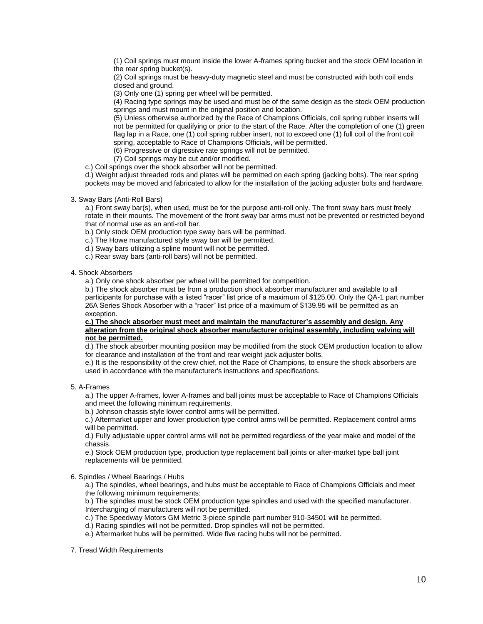(1) Coil springs must mount inside the lower A-frames spring bucket and the stock OEM location in the rear spring bucket(s).

(2) Coil springs must be heavy-duty magnetic steel and must be constructed with both coil ends closed and ground.

(3) Only one (1) spring per wheel will be permitted.

(4) Racing type springs may be used and must be of the same design as the stock OEM production springs and must mount in the original position and location.

(5) Unless otherwise authorized by the Race of Champions Officials, coil spring rubber inserts will not be permitted for qualifying or prior to the start of the Race. After the completion of one (1) green flag lap in a Race, one (1) coil spring rubber insert, not to exceed one (1) full coil of the front coil spring, acceptable to Race of Champions Officials, will be permitted.

(6) Progressive or digressive rate springs will not be permitted.

(7) Coil springs may be cut and/or modified.

c.) Coil springs over the shock absorber will not be permitted.

d.) Weight adjust threaded rods and plates will be permitted on each spring (jacking bolts). The rear spring pockets may be moved and fabricated to allow for the installation of the jacking adjuster bolts and hardware.

#### 3. Sway Bars (Anti-Roll Bars)

a.) Front sway bar(s), when used, must be for the purpose anti-roll only. The front sway bars must freely rotate in their mounts. The movement of the front sway bar arms must not be prevented or restricted beyond that of normal use as an anti-roll bar.

b.) Only stock OEM production type sway bars will be permitted.

c.) The Howe manufactured style sway bar will be permitted.

d.) Sway bars utilizing a spline mount will not be permitted.

c.) Rear sway bars (anti-roll bars) will not be permitted.

#### 4. Shock Absorbers

a.) Only one shock absorber per wheel will be permitted for competition.

b.) The shock absorber must be from a production shock absorber manufacturer and available to all participants for purchase with a listed "racer" list price of a maximum of \$125.00. Only the QA-1 part number 26A Series Shock Absorber with a "racer" list price of a maximum of \$139.95 will be permitted as an exception.

#### **c.) The shock absorber must meet and maintain the manufacturer's assembly and design. Any alteration from the original shock absorber manufacturer original assembly, including valving will not be permitted.**

d.) The shock absorber mounting position may be modified from the stock OEM production location to allow for clearance and installation of the front and rear weight jack adjuster bolts.

e.) It is the responsibility of the crew chief, not the Race of Champions, to ensure the shock absorbers are used in accordance with the manufacturer's instructions and specifications.

#### 5. A-Frames

a.) The upper A-frames, lower A-frames and ball joints must be acceptable to Race of Champions Officials and meet the following minimum requirements.

b.) Johnson chassis style lower control arms will be permitted.

c.) Aftermarket upper and lower production type control arms will be permitted. Replacement control arms will be permitted.

d.) Fully adjustable upper control arms will not be permitted regardless of the year make and model of the chassis.

e.) Stock OEM production type, production type replacement ball joints or after-market type ball joint replacements will be permitted.

#### 6. Spindles / Wheel Bearings / Hubs

a.) The spindles, wheel bearings, and hubs must be acceptable to Race of Champions Officials and meet the following minimum requirements:

b.) The spindles must be stock OEM production type spindles and used with the specified manufacturer. Interchanging of manufacturers will not be permitted.

c.) The Speedway Motors GM Metric 3-piece spindle part number 910-34501 will be permitted.

d.) Racing spindles will not be permitted. Drop spindles will not be permitted.

e.) Aftermarket hubs will be permitted. Wide five racing hubs will not be permitted.

#### 7. Tread Width Requirements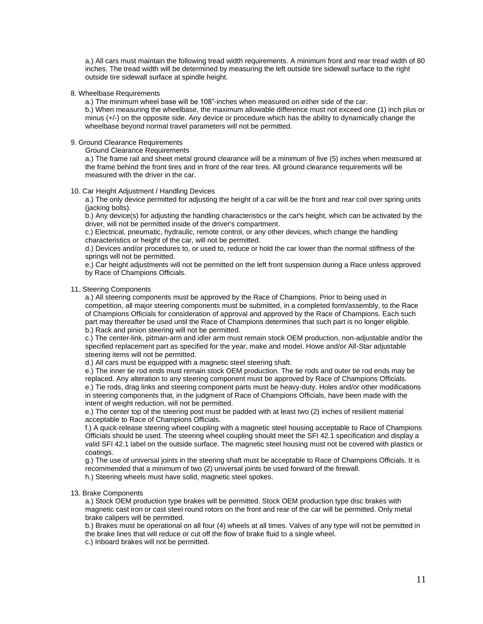a.) All cars must maintain the following tread width requirements. A minimum front and rear tread width of 80 inches. The tread width will be determined by measuring the left outside tire sidewall surface to the right outside tire sidewall surface at spindle height.

### 8. Wheelbase Requirements

a.) The minimum wheel base will be 108"-inches when measured on either side of the car.

b.) When measuring the wheelbase, the maximum allowable difference must not exceed one (1) inch plus or minus (+/-) on the opposite side. Any device or procedure which has the ability to dynamically change the wheelbase beyond normal travel parameters will not be permitted.

# 9. Ground Clearance Requirements

Ground Clearance Requirements

a.) The frame rail and sheet metal ground clearance will be a minimum of five (5) inches when measured at the frame behind the front tires and in front of the rear tires. All ground clearance requirements will be measured with the driver in the car.

#### 10. Car Height Adjustment / Handling Devices

a.) The only device permitted for adjusting the height of a car will be the front and rear coil over spring units (jacking bolts).

b.) Any device(s) for adjusting the handling characteristics or the car's height, which can be activated by the driver, will not be permitted inside of the driver's compartment.

c.) Electrical, pneumatic, hydraulic, remote control, or any other devices, which change the handling characteristics or height of the car, will not be permitted.

d.) Devices and/or procedures to, or used to, reduce or hold the car lower than the normal stiffness of the springs will not be permitted.

e.) Car height adjustments will not be permitted on the left front suspension during a Race unless approved by Race of Champions Officials.

### 11. Steering Components

a.) All steering components must be approved by the Race of Champions. Prior to being used in competition, all major steering components must be submitted, in a completed form/assembly, to the Race of Champions Officials for consideration of approval and approved by the Race of Champions. Each such part may thereafter be used until the Race of Champions determines that such part is no longer eligible.

# b.) Rack and pinion steering will not be permitted.

c.) The center-link, pitman-arm and idler arm must remain stock OEM production, non-adjustable and/or the specified replacement part as specified for the year, make and model. Howe and/or All-Star adjustable steering items will not be permitted.

d.) All cars must be equipped with a magnetic steel steering shaft.

e.) The inner tie rod ends must remain stock OEM production. The tie rods and outer tie rod ends may be replaced. Any alteration to any steering component must be approved by Race of Champions Officials. e.) Tie rods, drag links and steering component parts must be heavy-duty. Holes and/or other modifications in steering components that, in the judgment of Race of Champions Officials, have been made with the intent of weight reduction, will not be permitted.

e.) The center top of the steering post must be padded with at least two (2) inches of resilient material acceptable to Race of Champions Officials.

f.) A quick-release steering wheel coupling with a magnetic steel housing acceptable to Race of Champions Officials should be used. The steering wheel coupling should meet the SFI 42.1 specification and display a valid SFI 42.1 label on the outside surface. The magnetic steel housing must not be covered with plastics or coatings.

g.) The use of universal joints in the steering shaft must be acceptable to Race of Champions Officials. It is recommended that a minimum of two (2) universal joints be used forward of the firewall.

h.) Steering wheels must have solid, magnetic steel spokes.

### 13. Brake Components

a.) Stock OEM production type brakes will be permitted. Stock OEM production type disc brakes with magnetic cast iron or cast steel round rotors on the front and rear of the car will be permitted. Only metal brake calipers will be permitted.

b.) Brakes must be operational on all four (4) wheels at all times. Valves of any type will not be permitted in the brake lines that will reduce or cut off the flow of brake fluid to a single wheel.

c.) Inboard brakes will not be permitted.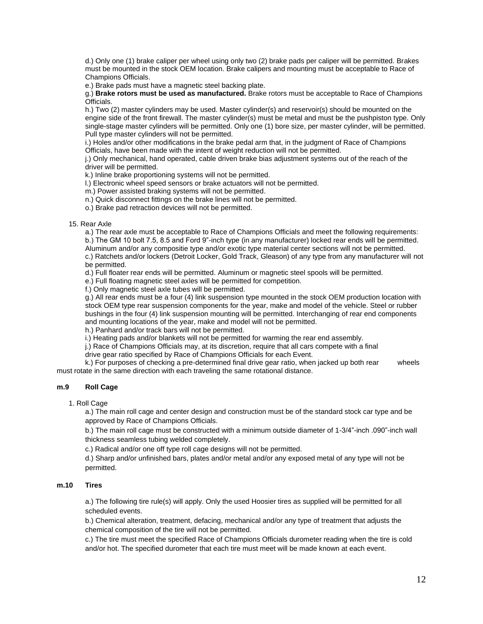d.) Only one (1) brake caliper per wheel using only two (2) brake pads per caliper will be permitted. Brakes must be mounted in the stock OEM location. Brake calipers and mounting must be acceptable to Race of Champions Officials.

e.) Brake pads must have a magnetic steel backing plate.

g.) **Brake rotors must be used as manufactured.** Brake rotors must be acceptable to Race of Champions Officials.

h.) Two (2) master cylinders may be used. Master cylinder(s) and reservoir(s) should be mounted on the engine side of the front firewall. The master cylinder(s) must be metal and must be the pushpiston type. Only single-stage master cylinders will be permitted. Only one (1) bore size, per master cylinder, will be permitted. Pull type master cylinders will not be permitted.

i.) Holes and/or other modifications in the brake pedal arm that, in the judgment of Race of Champions Officials, have been made with the intent of weight reduction will not be permitted.

j.) Only mechanical, hand operated, cable driven brake bias adjustment systems out of the reach of the driver will be permitted.

k.) Inline brake proportioning systems will not be permitted.

l.) Electronic wheel speed sensors or brake actuators will not be permitted.

m.) Power assisted braking systems will not be permitted.

n.) Quick disconnect fittings on the brake lines will not be permitted.

o.) Brake pad retraction devices will not be permitted.

15. Rear Axle

a.) The rear axle must be acceptable to Race of Champions Officials and meet the following requirements:

b.) The GM 10 bolt 7.5, 8.5 and Ford 9"-inch type (in any manufacturer) locked rear ends will be permitted.

Aluminum and/or any compositie type and/or exotic type material center sections will not be permitted. c.) Ratchets and/or lockers (Detroit Locker, Gold Track, Gleason) of any type from any manufacturer will not be permitted.

d.) Full floater rear ends will be permitted. Aluminum or magnetic steel spools will be permitted.

e.) Full floating magnetic steel axles will be permitted for competition.

f.) Only magnetic steel axle tubes will be permitted.

g.) All rear ends must be a four (4) link suspension type mounted in the stock OEM production location with stock OEM type rear suspension components for the year, make and model of the vehicle. Steel or rubber bushings in the four (4) link suspension mounting will be permitted. Interchanging of rear end components and mounting locations of the year, make and model will not be permitted.

h.) Panhard and/or track bars will not be permitted.

i.) Heating pads and/or blankets will not be permitted for warming the rear end assembly.

j.) Race of Champions Officials may, at its discretion, require that all cars compete with a final

drive gear ratio specified by Race of Champions Officials for each Event.

k.) For purposes of checking a pre-determined final drive gear ratio, when jacked up both rear wheels must rotate in the same direction with each traveling the same rotational distance.

### **m.9 Roll Cage**

1. Roll Cage

a.) The main roll cage and center design and construction must be of the standard stock car type and be approved by Race of Champions Officials.

b.) The main roll cage must be constructed with a minimum outside diameter of 1-3/4"-inch .090"-inch wall thickness seamless tubing welded completely.

c.) Radical and/or one off type roll cage designs will not be permitted.

d.) Sharp and/or unfinished bars, plates and/or metal and/or any exposed metal of any type will not be permitted.

# **m.10 Tires**

a.) The following tire rule(s) will apply. Only the used Hoosier tires as supplied will be permitted for all scheduled events.

b.) Chemical alteration, treatment, defacing, mechanical and/or any type of treatment that adjusts the chemical composition of the tire will not be permitted.

c.) The tire must meet the specified Race of Champions Officials durometer reading when the tire is cold and/or hot. The specified durometer that each tire must meet will be made known at each event.